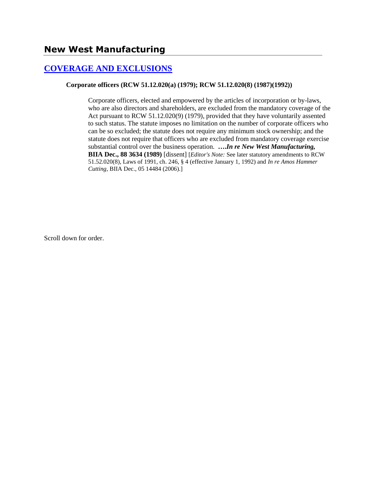## **[COVERAGE AND EXCLUSIONS](http://www.biia.wa.gov/SDSubjectIndex.html#COVERAGE_AND_EXCLUSIONS)**

#### **Corporate officers (RCW 51.12.020(a) (1979); RCW 51.12.020(8) (1987)(1992))**

Corporate officers, elected and empowered by the articles of incorporation or by-laws, who are also directors and shareholders, are excluded from the mandatory coverage of the Act pursuant to RCW 51.12.020(9) (1979), provided that they have voluntarily assented to such status. The statute imposes no limitation on the number of corporate officers who can be so excluded; the statute does not require any minimum stock ownership; and the statute does not require that officers who are excluded from mandatory coverage exercise substantial control over the business operation. **….***In re New West Manufacturing,* **BIIA Dec., 88 3634 (1989)** [dissent] [*Editor's Note:* See later statutory amendments to RCW 51.52.020(8), Laws of 1991, ch. 246, § 4 (effective January 1, 1992) and *In re Amos Hammer Cutting*, BIIA Dec., 05 14484 (2006).]

Scroll down for order.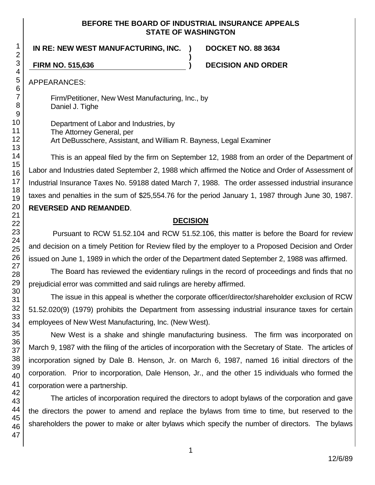### **BEFORE THE BOARD OF INDUSTRIAL INSURANCE APPEALS STATE OF WASHINGTON**

**)**

**IN RE: NEW WEST MANUFACTURING, INC. ) DOCKET NO. 88 3634**

**FIRM NO. 515,636 ) DECISION AND ORDER**

APPEARANCES:

Firm/Petitioner, New West Manufacturing, Inc., by Daniel J. Tighe

Department of Labor and Industries, by The Attorney General, per Art DeBusschere, Assistant, and William R. Bayness, Legal Examiner

This is an appeal filed by the firm on September 12, 1988 from an order of the Department of Labor and Industries dated September 2, 1988 which affirmed the Notice and Order of Assessment of Industrial Insurance Taxes No. 59188 dated March 7, 1988. The order assessed industrial insurance taxes and penalties in the sum of \$25,554.76 for the period January 1, 1987 through June 30, 1987. **REVERSED AND REMANDED**.

# **DECISION**

Pursuant to RCW 51.52.104 and RCW 51.52.106, this matter is before the Board for review and decision on a timely Petition for Review filed by the employer to a Proposed Decision and Order issued on June 1, 1989 in which the order of the Department dated September 2, 1988 was affirmed.

The Board has reviewed the evidentiary rulings in the record of proceedings and finds that no prejudicial error was committed and said rulings are hereby affirmed.

The issue in this appeal is whether the corporate officer/director/shareholder exclusion of RCW 51.52.020(9) (1979) prohibits the Department from assessing industrial insurance taxes for certain employees of New West Manufacturing, Inc. (New West).

New West is a shake and shingle manufacturing business. The firm was incorporated on March 9, 1987 with the filing of the articles of incorporation with the Secretary of State. The articles of incorporation signed by Dale B. Henson, Jr. on March 6, 1987, named 16 initial directors of the corporation. Prior to incorporation, Dale Henson, Jr., and the other 15 individuals who formed the corporation were a partnership.

The articles of incorporation required the directors to adopt bylaws of the corporation and gave the directors the power to amend and replace the bylaws from time to time, but reserved to the shareholders the power to make or alter bylaws which specify the number of directors. The bylaws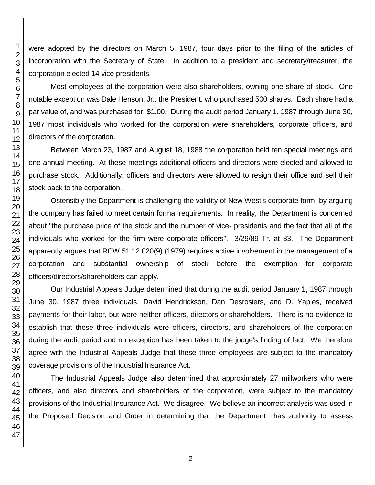were adopted by the directors on March 5, 1987, four days prior to the filing of the articles of incorporation with the Secretary of State. In addition to a president and secretary/treasurer, the corporation elected 14 vice presidents.

Most employees of the corporation were also shareholders, owning one share of stock. One notable exception was Dale Henson, Jr., the President, who purchased 500 shares. Each share had a par value of, and was purchased for, \$1.00. During the audit period January 1, 1987 through June 30, 1987 most individuals who worked for the corporation were shareholders, corporate officers, and directors of the corporation.

Between March 23, 1987 and August 18, 1988 the corporation held ten special meetings and one annual meeting. At these meetings additional officers and directors were elected and allowed to purchase stock. Additionally, officers and directors were allowed to resign their office and sell their stock back to the corporation.

Ostensibly the Department is challenging the validity of New West's corporate form, by arguing the company has failed to meet certain formal requirements. In reality, the Department is concerned about "the purchase price of the stock and the number of vice- presidents and the fact that all of the individuals who worked for the firm were corporate officers". 3/29/89 Tr. at 33. The Department apparently argues that RCW 51.12.020(9) (1979) requires active involvement in the management of a corporation and substantial ownership of stock before the exemption for corporate officers/directors/shareholders can apply.

Our Industrial Appeals Judge determined that during the audit period January 1, 1987 through June 30, 1987 three individuals, David Hendrickson, Dan Desrosiers, and D. Yaples, received payments for their labor, but were neither officers, directors or shareholders. There is no evidence to establish that these three individuals were officers, directors, and shareholders of the corporation during the audit period and no exception has been taken to the judge's finding of fact. We therefore agree with the Industrial Appeals Judge that these three employees are subject to the mandatory coverage provisions of the Industrial Insurance Act.

The Industrial Appeals Judge also determined that approximately 27 millworkers who were officers, and also directors and shareholders of the corporation, were subject to the mandatory provisions of the Industrial Insurance Act. We disagree. We believe an incorrect analysis was used in the Proposed Decision and Order in determining that the Department has authority to assess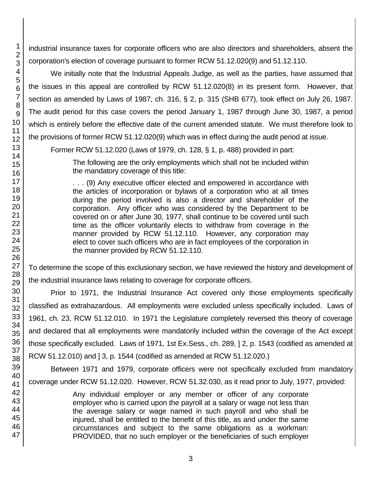industrial insurance taxes for corporate officers who are also directors and shareholders, absent the corporation's election of coverage pursuant to former RCW 51.12.020(9) and 51.12.110.

We initially note that the Industrial Appeals Judge, as well as the parties, have assumed that the issues in this appeal are controlled by RCW 51.12.020(8) in its present form. However, that section as amended by Laws of 1987, ch. 316, § 2, p. 315 (SHB 677), took effect on July 26, 1987. The audit period for this case covers the period January 1, 1987 through June 30, 1987, a period which is entirely before the effective date of the current amended statute. We must therefore look to the provisions of former RCW 51.12.020(9) which was in effect during the audit period at issue.

Former RCW 51.12.020 (Laws of 1979, ch. 128, § 1, p. 488) provided in part:

The following are the only employments which shall not be included within the mandatory coverage of this title:

. . . (9) Any executive officer elected and empowered in accordance with the articles of incorporation or bylaws of a corporation who at all times during the period involved is also a director and shareholder of the corporation. Any officer who was considered by the Department to be covered on or after June 30, 1977, shall continue to be covered until such time as the officer voluntarily elects to withdraw from coverage in the manner provided by RCW 51.12.110. However, any corporation may elect to cover such officers who are in fact employees of the corporation in the manner provided by RCW 51.12.110.

To determine the scope of this exclusionary section, we have reviewed the history and development of the industrial insurance laws relating to coverage for corporate officers.

Prior to 1971, the Industrial Insurance Act covered only those employments specifically classified as extrahazardous. All employments were excluded unless specifically included. Laws of 1961, ch. 23, RCW 51.12.010. In 1971 the Legislature completely reversed this theory of coverage and declared that all employments were mandatorily included within the coverage of the Act except those specifically excluded. Laws of 1971, 1st Ex.Sess., ch. 289, ] 2, p. 1543 (codified as amended at RCW 51.12.010) and ] 3, p. 1544 (codified as amended at RCW 51.12.020.)

Between 1971 and 1979, corporate officers were not specifically excluded from mandatory coverage under RCW 51.12.020. However, RCW 51.32.030, as it read prior to July, 1977, provided:

> Any individual employer or any member or officer of any corporate employer who is carried upon the payroll at a salary or wage not less than the average salary or wage named in such payroll and who shall be injured, shall be entitled to the benefit of this title, as and under the same circumstances and subject to the same obligations as a workman: PROVIDED, that no such employer or the beneficiaries of such employer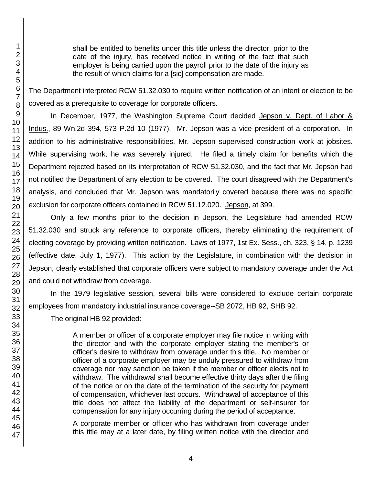shall be entitled to benefits under this title unless the director, prior to the date of the injury, has received notice in writing of the fact that such employer is being carried upon the payroll prior to the date of the injury as the result of which claims for a [sic] compensation are made.

The Department interpreted RCW 51.32.030 to require written notification of an intent or election to be covered as a prerequisite to coverage for corporate officers.

In December, 1977, the Washington Supreme Court decided Jepson v. Dept. of Labor & Indus., 89 Wn.2d 394, 573 P.2d 10 (1977). Mr. Jepson was a vice president of a corporation. In addition to his administrative responsibilities, Mr. Jepson supervised construction work at jobsites. While supervising work, he was severely injured. He filed a timely claim for benefits which the Department rejected based on its interpretation of RCW 51.32.030, and the fact that Mr. Jepson had not notified the Department of any election to be covered. The court disagreed with the Department's analysis, and concluded that Mr. Jepson was mandatorily covered because there was no specific exclusion for corporate officers contained in RCW 51.12.020. Jepson, at 399.

Only a few months prior to the decision in Jepson, the Legislature had amended RCW 51.32.030 and struck any reference to corporate officers, thereby eliminating the requirement of electing coverage by providing written notification. Laws of 1977, 1st Ex. Sess., ch. 323, § 14, p. 1239 (effective date, July 1, 1977). This action by the Legislature, in combination with the decision in Jepson, clearly established that corporate officers were subject to mandatory coverage under the Act and could not withdraw from coverage.

In the 1979 legislative session, several bills were considered to exclude certain corporate employees from mandatory industrial insurance coverage--SB 2072, HB 92, SHB 92.

The original HB 92 provided:

A member or officer of a corporate employer may file notice in writing with the director and with the corporate employer stating the member's or officer's desire to withdraw from coverage under this title. No member or officer of a corporate employer may be unduly pressured to withdraw from coverage nor may sanction be taken if the member or officer elects not to withdraw. The withdrawal shall become effective thirty days after the filing of the notice or on the date of the termination of the security for payment of compensation, whichever last occurs. Withdrawal of acceptance of this title does not affect the liability of the department or self-insurer for compensation for any injury occurring during the period of acceptance.

A corporate member or officer who has withdrawn from coverage under this title may at a later date, by filing written notice with the director and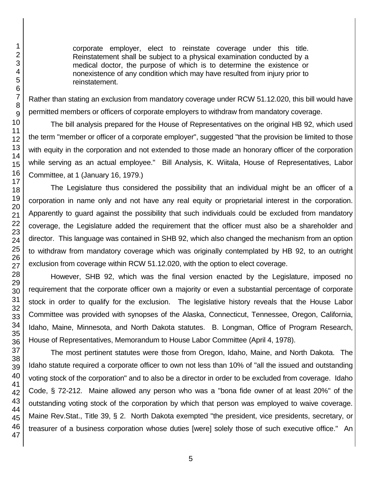corporate employer, elect to reinstate coverage under this title. Reinstatement shall be subject to a physical examination conducted by a medical doctor, the purpose of which is to determine the existence or nonexistence of any condition which may have resulted from injury prior to reinstatement.

Rather than stating an exclusion from mandatory coverage under RCW 51.12.020, this bill would have permitted members or officers of corporate employers to withdraw from mandatory coverage.

The bill analysis prepared for the House of Representatives on the original HB 92, which used the term "member or officer of a corporate employer", suggested "that the provision be limited to those with equity in the corporation and not extended to those made an honorary officer of the corporation while serving as an actual employee." Bill Analysis, K. Wiitala, House of Representatives, Labor Committee, at 1 (January 16, 1979.)

The Legislature thus considered the possibility that an individual might be an officer of a corporation in name only and not have any real equity or proprietarial interest in the corporation. Apparently to guard against the possibility that such individuals could be excluded from mandatory coverage, the Legislature added the requirement that the officer must also be a shareholder and director. This language was contained in SHB 92, which also changed the mechanism from an option to withdraw from mandatory coverage which was originally contemplated by HB 92, to an outright exclusion from coverage within RCW 51.12.020, with the option to elect coverage.

However, SHB 92, which was the final version enacted by the Legislature, imposed no requirement that the corporate officer own a majority or even a substantial percentage of corporate stock in order to qualify for the exclusion. The legislative history reveals that the House Labor Committee was provided with synopses of the Alaska, Connecticut, Tennessee, Oregon, California, Idaho, Maine, Minnesota, and North Dakota statutes. B. Longman, Office of Program Research, House of Representatives, Memorandum to House Labor Committee (April 4, 1978).

The most pertinent statutes were those from Oregon, Idaho, Maine, and North Dakota. The Idaho statute required a corporate officer to own not less than 10% of "all the issued and outstanding voting stock of the corporation" and to also be a director in order to be excluded from coverage. Idaho Code, § 72-212. Maine allowed any person who was a "bona fide owner of at least 20%" of the outstanding voting stock of the corporation by which that person was employed to waive coverage. Maine Rev.Stat., Title 39, § 2. North Dakota exempted "the president, vice presidents, secretary, or treasurer of a business corporation whose duties [were] solely those of such executive office." An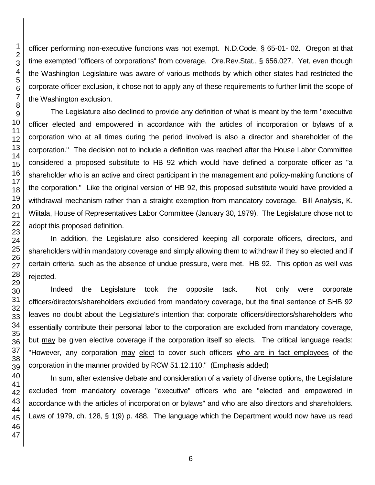officer performing non-executive functions was not exempt. N.D.Code, § 65-01- 02. Oregon at that time exempted "officers of corporations" from coverage. Ore.Rev.Stat., § 656.027. Yet, even though the Washington Legislature was aware of various methods by which other states had restricted the corporate officer exclusion, it chose not to apply any of these requirements to further limit the scope of the Washington exclusion.

The Legislature also declined to provide any definition of what is meant by the term "executive officer elected and empowered in accordance with the articles of incorporation or bylaws of a corporation who at all times during the period involved is also a director and shareholder of the corporation." The decision not to include a definition was reached after the House Labor Committee considered a proposed substitute to HB 92 which would have defined a corporate officer as "a shareholder who is an active and direct participant in the management and policy-making functions of the corporation." Like the original version of HB 92, this proposed substitute would have provided a withdrawal mechanism rather than a straight exemption from mandatory coverage. Bill Analysis, K. Wiitala, House of Representatives Labor Committee (January 30, 1979). The Legislature chose not to adopt this proposed definition.

In addition, the Legislature also considered keeping all corporate officers, directors, and shareholders within mandatory coverage and simply allowing them to withdraw if they so elected and if certain criteria, such as the absence of undue pressure, were met. HB 92. This option as well was rejected.

Indeed the Legislature took the opposite tack. Not only were corporate officers/directors/shareholders excluded from mandatory coverage, but the final sentence of SHB 92 leaves no doubt about the Legislature's intention that corporate officers/directors/shareholders who essentially contribute their personal labor to the corporation are excluded from mandatory coverage, but may be given elective coverage if the corporation itself so elects. The critical language reads: "However, any corporation may elect to cover such officers who are in fact employees of the corporation in the manner provided by RCW 51.12.110." (Emphasis added)

In sum, after extensive debate and consideration of a variety of diverse options, the Legislature excluded from mandatory coverage "executive" officers who are "elected and empowered in accordance with the articles of incorporation or bylaws" and who are also directors and shareholders. Laws of 1979, ch. 128, § 1(9) p. 488. The language which the Department would now have us read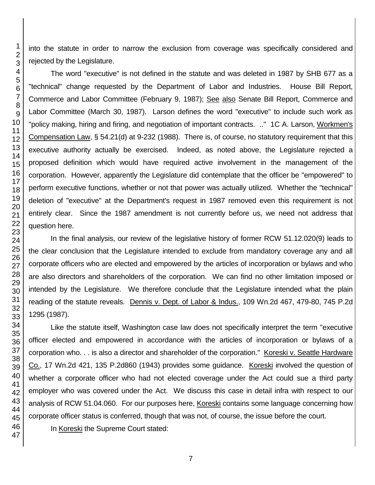into the statute in order to narrow the exclusion from coverage was specifically considered and rejected by the Legislature.

The word "executive" is not defined in the statute and was deleted in 1987 by SHB 677 as a "technical" change requested by the Department of Labor and Industries. House Bill Report, Commerce and Labor Committee (February 9, 1987); See also Senate Bill Report, Commerce and Labor Committee (March 30, 1987). Larson defines the word "executive" to include such work as "policy making, hiring and firing, and negotiation of important contracts. .." 1C A. Larson, Workmen's Compensation Law, § 54.21(d) at 9-232 (1988). There is, of course, no statutory requirement that this executive authority actually be exercised. Indeed, as noted above, the Legislature rejected a proposed definition which would have required active involvement in the management of the corporation. However, apparently the Legislature did contemplate that the officer be "empowered" to perform executive functions, whether or not that power was actually utilized. Whether the "technical" deletion of "executive" at the Department's request in 1987 removed even this requirement is not entirely clear. Since the 1987 amendment is not currently before us, we need not address that question here.

In the final analysis, our review of the legislative history of former RCW 51.12.020(9) leads to the clear conclusion that the Legislature intended to exclude from mandatory coverage any and all corporate officers who are elected and empowered by the articles of incorporation or bylaws and who are also directors and shareholders of the corporation. We can find no other limitation imposed or intended by the Legislature. We therefore conclude that the Legislature intended what the plain reading of the statute reveals. Dennis v. Dept. of Labor & Indus., 109 Wn.2d 467, 479-80, 745 P.2d 1295 (1987).

Like the statute itself, Washington case law does not specifically interpret the term "executive officer elected and empowered in accordance with the articles of incorporation or bylaws of a corporation who. . . is also a director and shareholder of the corporation." Koreski v. Seattle Hardware Co., 17 Wn.2d 421, 135 P.2d860 (1943) provides some guidance. Koreski involved the question of whether a corporate officer who had not elected coverage under the Act could sue a third party employer who was covered under the Act. We discuss this case in detail infra with respect to our analysis of RCW 51.04.060. For our purposes here, Koreski contains some language concerning how corporate officer status is conferred, though that was not, of course, the issue before the court.

In Koreski the Supreme Court stated: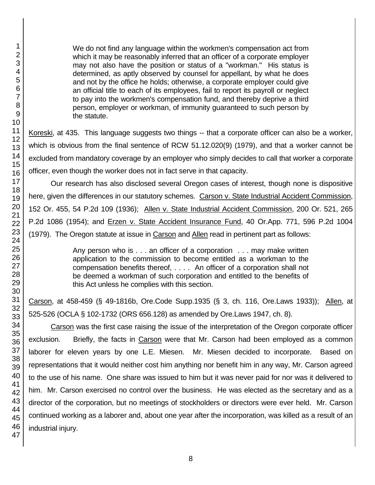We do not find any language within the workmen's compensation act from which it may be reasonably inferred that an officer of a corporate employer may not also have the position or status of a "workman." His status is determined, as aptly observed by counsel for appellant, by what he does and not by the office he holds; otherwise, a corporate employer could give an official title to each of its employees, fail to report its payroll or neglect to pay into the workmen's compensation fund, and thereby deprive a third person, employer or workman, of immunity guaranteed to such person by the statute.

Koreski, at 435. This language suggests two things -- that a corporate officer can also be a worker, which is obvious from the final sentence of RCW 51.12.020(9) (1979), and that a worker cannot be excluded from mandatory coverage by an employer who simply decides to call that worker a corporate officer, even though the worker does not in fact serve in that capacity.

Our research has also disclosed several Oregon cases of interest, though none is dispositive here, given the differences in our statutory schemes. Carson v. State Industrial Accident Commission, 152 Or. 455, 54 P.2d 109 (1936); Allen v. State Industrial Accident Commission, 200 Or. 521, 265 P.2d 1086 (1954); and Erzen v. State Accident Insurance Fund, 40 Or.App. 771, 596 P.2d 1004 (1979). The Oregon statute at issue in Carson and Allen read in pertinent part as follows:

> Any person who is . . . an officer of a corporation . . . may make written application to the commission to become entitled as a workman to the compensation benefits thereof, . . . . An officer of a corporation shall not be deemed a workman of such corporation and entitled to the benefits of this Act unless he complies with this section.

Carson, at 458-459 (§ 49-1816b, Ore.Code Supp.1935 (§ 3, ch. 116, Ore.Laws 1933)); Allen, at 525-526 (OCLA § 102-1732 (ORS 656.128) as amended by Ore.Laws 1947, ch. 8).

Carson was the first case raising the issue of the interpretation of the Oregon corporate officer exclusion. Briefly, the facts in Carson were that Mr. Carson had been employed as a common laborer for eleven years by one L.E. Miesen. Mr. Miesen decided to incorporate. Based on representations that it would neither cost him anything nor benefit him in any way, Mr. Carson agreed to the use of his name. One share was issued to him but it was never paid for nor was it delivered to him. Mr. Carson exercised no control over the business. He was elected as the secretary and as a director of the corporation, but no meetings of stockholders or directors were ever held. Mr. Carson continued working as a laborer and, about one year after the incorporation, was killed as a result of an industrial injury.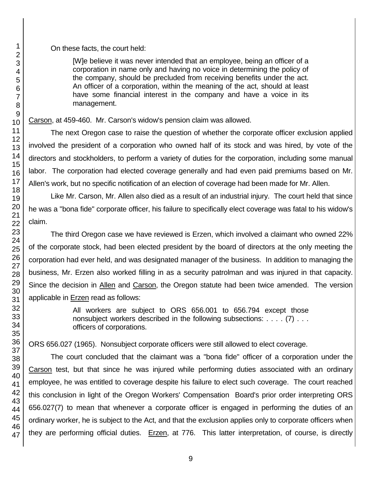On these facts, the court held:

[W]e believe it was never intended that an employee, being an officer of a corporation in name only and having no voice in determining the policy of the company, should be precluded from receiving benefits under the act. An officer of a corporation, within the meaning of the act, should at least have some financial interest in the company and have a voice in its management.

Carson, at 459-460. Mr. Carson's widow's pension claim was allowed.

The next Oregon case to raise the question of whether the corporate officer exclusion applied involved the president of a corporation who owned half of its stock and was hired, by vote of the directors and stockholders, to perform a variety of duties for the corporation, including some manual labor. The corporation had elected coverage generally and had even paid premiums based on Mr. Allen's work, but no specific notification of an election of coverage had been made for Mr. Allen.

Like Mr. Carson, Mr. Allen also died as a result of an industrial injury. The court held that since he was a "bona fide" corporate officer, his failure to specifically elect coverage was fatal to his widow's claim.

The third Oregon case we have reviewed is Erzen, which involved a claimant who owned 22% of the corporate stock, had been elected president by the board of directors at the only meeting the corporation had ever held, and was designated manager of the business. In addition to managing the business, Mr. Erzen also worked filling in as a security patrolman and was injured in that capacity. Since the decision in Allen and Carson, the Oregon statute had been twice amended. The version applicable in Erzen read as follows:

> All workers are subject to ORS 656.001 to 656.794 except those nonsubject workers described in the following subsections: . . . . (7) . . . officers of corporations.

ORS 656.027 (1965). Nonsubject corporate officers were still allowed to elect coverage.

The court concluded that the claimant was a "bona fide" officer of a corporation under the Carson test, but that since he was injured while performing duties associated with an ordinary employee, he was entitled to coverage despite his failure to elect such coverage. The court reached this conclusion in light of the Oregon Workers' Compensation Board's prior order interpreting ORS 656.027(7) to mean that whenever a corporate officer is engaged in performing the duties of an ordinary worker, he is subject to the Act, and that the exclusion applies only to corporate officers when they are performing official duties. Erzen, at 776. This latter interpretation, of course, is directly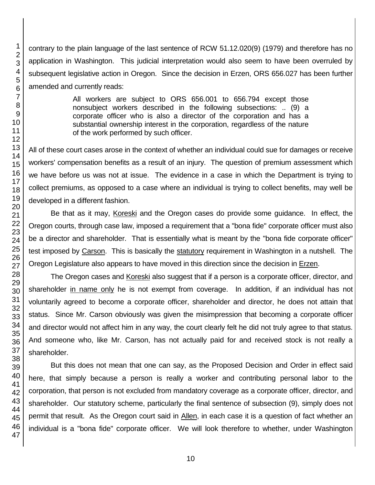contrary to the plain language of the last sentence of RCW 51.12.020(9) (1979) and therefore has no application in Washington. This judicial interpretation would also seem to have been overruled by subsequent legislative action in Oregon. Since the decision in Erzen, ORS 656.027 has been further amended and currently reads:

> All workers are subject to ORS 656.001 to 656.794 except those nonsubject workers described in the following subsections: .. (9) a corporate officer who is also a director of the corporation and has a substantial ownership interest in the corporation, regardless of the nature of the work performed by such officer.

All of these court cases arose in the context of whether an individual could sue for damages or receive workers' compensation benefits as a result of an injury. The question of premium assessment which we have before us was not at issue. The evidence in a case in which the Department is trying to collect premiums, as opposed to a case where an individual is trying to collect benefits, may well be developed in a different fashion.

Be that as it may, Koreski and the Oregon cases do provide some guidance. In effect, the Oregon courts, through case law, imposed a requirement that a "bona fide" corporate officer must also be a director and shareholder. That is essentially what is meant by the "bona fide corporate officer" test imposed by Carson. This is basically the statutory requirement in Washington in a nutshell. The Oregon Legislature also appears to have moved in this direction since the decision in Erzen.

The Oregon cases and Koreski also suggest that if a person is a corporate officer, director, and shareholder in name only he is not exempt from coverage. In addition, if an individual has not voluntarily agreed to become a corporate officer, shareholder and director, he does not attain that status. Since Mr. Carson obviously was given the misimpression that becoming a corporate officer and director would not affect him in any way, the court clearly felt he did not truly agree to that status. And someone who, like Mr. Carson, has not actually paid for and received stock is not really a shareholder.

But this does not mean that one can say, as the Proposed Decision and Order in effect said here, that simply because a person is really a worker and contributing personal labor to the corporation, that person is not excluded from mandatory coverage as a corporate officer, director, and shareholder. Our statutory scheme, particularly the final sentence of subsection (9), simply does not permit that result. As the Oregon court said in Allen, in each case it is a question of fact whether an individual is a "bona fide" corporate officer. We will look therefore to whether, under Washington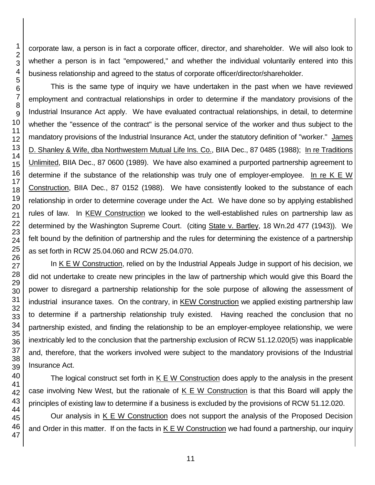corporate law, a person is in fact a corporate officer, director, and shareholder. We will also look to whether a person is in fact "empowered," and whether the individual voluntarily entered into this business relationship and agreed to the status of corporate officer/director/shareholder.

This is the same type of inquiry we have undertaken in the past when we have reviewed employment and contractual relationships in order to determine if the mandatory provisions of the Industrial Insurance Act apply. We have evaluated contractual relationships, in detail, to determine whether the "essence of the contract" is the personal service of the worker and thus subject to the mandatory provisions of the Industrial Insurance Act, under the statutory definition of "worker." James D. Shanley & Wife, dba Northwestern Mutual Life Ins. Co., BIIA Dec., 87 0485 (1988); In re Traditions Unlimited, BIIA Dec., 87 0600 (1989). We have also examined a purported partnership agreement to determine if the substance of the relationship was truly one of employer-employee. In re K E W Construction, BIIA Dec., 87 0152 (1988). We have consistently looked to the substance of each relationship in order to determine coverage under the Act. We have done so by applying established rules of law. In KEW Construction we looked to the well-established rules on partnership law as determined by the Washington Supreme Court. (citing State v. Bartley, 18 Wn.2d 477 (1943)). We felt bound by the definition of partnership and the rules for determining the existence of a partnership as set forth in RCW 25.04.060 and RCW 25.04.070.

In K E W Construction, relied on by the Industrial Appeals Judge in support of his decision, we did not undertake to create new principles in the law of partnership which would give this Board the power to disregard a partnership relationship for the sole purpose of allowing the assessment of industrial insurance taxes. On the contrary, in KEW Construction we applied existing partnership law to determine if a partnership relationship truly existed. Having reached the conclusion that no partnership existed, and finding the relationship to be an employer-employee relationship, we were inextricably led to the conclusion that the partnership exclusion of RCW 51.12.020(5) was inapplicable and, therefore, that the workers involved were subject to the mandatory provisions of the Industrial Insurance Act.

The logical construct set forth in K E W Construction does apply to the analysis in the present case involving New West, but the rationale of  $K \in W$  Construction is that this Board will apply the principles of existing law to determine if a business is excluded by the provisions of RCW 51.12.020.

Our analysis in K E W Construction does not support the analysis of the Proposed Decision and Order in this matter. If on the facts in K E W Construction we had found a partnership, our inquiry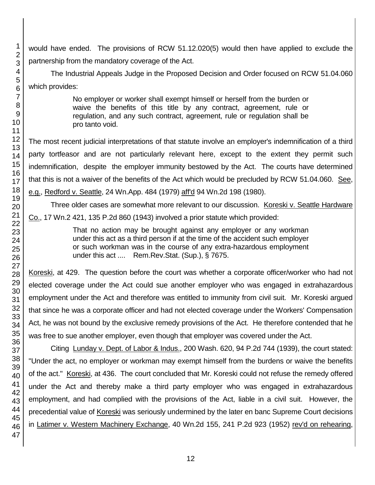would have ended. The provisions of RCW 51.12.020(5) would then have applied to exclude the partnership from the mandatory coverage of the Act.

The Industrial Appeals Judge in the Proposed Decision and Order focused on RCW 51.04.060 which provides:

> No employer or worker shall exempt himself or herself from the burden or waive the benefits of this title by any contract, agreement, rule or regulation, and any such contract, agreement, rule or regulation shall be pro tanto void.

The most recent judicial interpretations of that statute involve an employer's indemnification of a third party tortfeasor and are not particularly relevant here, except to the extent they permit such indemnification, despite the employer immunity bestowed by the Act. The courts have determined that this is not a waiver of the benefits of the Act which would be precluded by RCW 51.04.060. See, e.g., Redford v. Seattle, 24 Wn.App. 484 (1979) aff'd 94 Wn.2d 198 (1980).

Three older cases are somewhat more relevant to our discussion. Koreski v. Seattle Hardware Co., 17 Wn.2 421, 135 P.2d 860 (1943) involved a prior statute which provided:

> That no action may be brought against any employer or any workman under this act as a third person if at the time of the accident such employer or such workman was in the course of any extra-hazardous employment under this act .... Rem.Rev.Stat. (Sup.), § 7675.

Koreski, at 429. The question before the court was whether a corporate officer/worker who had not elected coverage under the Act could sue another employer who was engaged in extrahazardous employment under the Act and therefore was entitled to immunity from civil suit. Mr. Koreski argued that since he was a corporate officer and had not elected coverage under the Workers' Compensation Act, he was not bound by the exclusive remedy provisions of the Act. He therefore contended that he was free to sue another employer, even though that employer was covered under the Act.

Citing Lunday v. Dept. of Labor & Indus., 200 Wash. 620, 94 P.2d 744 (1939), the court stated: "Under the act, no employer or workman may exempt himself from the burdens or waive the benefits of the act." Koreski, at 436. The court concluded that Mr. Koreski could not refuse the remedy offered under the Act and thereby make a third party employer who was engaged in extrahazardous employment, and had complied with the provisions of the Act, liable in a civil suit. However, the precedential value of Koreski was seriously undermined by the later en banc Supreme Court decisions in Latimer v. Western Machinery Exchange, 40 Wn.2d 155, 241 P.2d 923 (1952) rev'd on rehearing,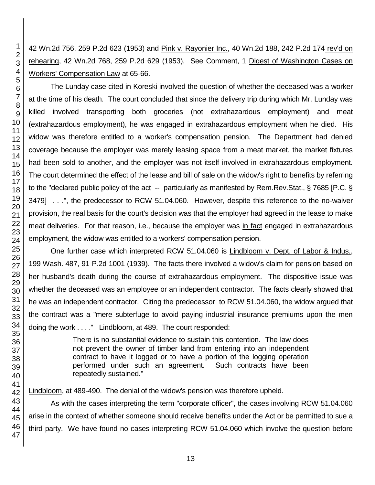42 Wn.2d 756, 259 P.2d 623 (1953) and Pink v. Rayonier Inc., 40 Wn.2d 188, 242 P.2d 174 rev'd on rehearing, 42 Wn.2d 768, 259 P.2d 629 (1953). See Comment, 1 Digest of Washington Cases on Workers' Compensation Law at 65-66.

The Lunday case cited in Koreski involved the question of whether the deceased was a worker at the time of his death. The court concluded that since the delivery trip during which Mr. Lunday was killed involved transporting both groceries (not extrahazardous employment) and meat (extrahazardous employment), he was engaged in extrahazardous employment when he died. His widow was therefore entitled to a worker's compensation pension. The Department had denied coverage because the employer was merely leasing space from a meat market, the market fixtures had been sold to another, and the employer was not itself involved in extrahazardous employment. The court determined the effect of the lease and bill of sale on the widow's right to benefits by referring to the "declared public policy of the act -- particularly as manifested by Rem.Rev.Stat., § 7685 [P.C. § 3479] . . .", the predecessor to RCW 51.04.060. However, despite this reference to the no-waiver provision, the real basis for the court's decision was that the employer had agreed in the lease to make meat deliveries. For that reason, i.e., because the employer was in fact engaged in extrahazardous employment, the widow was entitled to a workers' compensation pension.

One further case which interpreted RCW 51.04.060 is Lindbloom v. Dept. of Labor & Indus., 199 Wash. 487, 91 P.2d 1001 (1939). The facts there involved a widow's claim for pension based on her husband's death during the course of extrahazardous employment. The dispositive issue was whether the deceased was an employee or an independent contractor. The facts clearly showed that he was an independent contractor. Citing the predecessor to RCW 51.04.060, the widow argued that the contract was a "mere subterfuge to avoid paying industrial insurance premiums upon the men doing the work . . . ." Lindbloom, at 489. The court responded:

> There is no substantial evidence to sustain this contention. The law does not prevent the owner of timber land from entering into an independent contract to have it logged or to have a portion of the logging operation performed under such an agreement. Such contracts have been repeatedly sustained."

Lindbloom, at 489-490. The denial of the widow's pension was therefore upheld.

As with the cases interpreting the term "corporate officer", the cases involving RCW 51.04.060 arise in the context of whether someone should receive benefits under the Act or be permitted to sue a third party. We have found no cases interpreting RCW 51.04.060 which involve the question before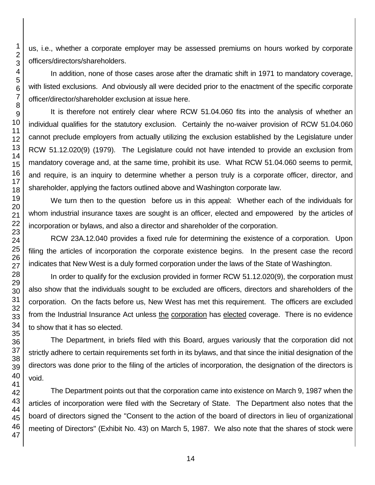us, i.e., whether a corporate employer may be assessed premiums on hours worked by corporate officers/directors/shareholders.

In addition, none of those cases arose after the dramatic shift in 1971 to mandatory coverage, with listed exclusions. And obviously all were decided prior to the enactment of the specific corporate officer/director/shareholder exclusion at issue here.

It is therefore not entirely clear where RCW 51.04.060 fits into the analysis of whether an individual qualifies for the statutory exclusion. Certainly the no-waiver provision of RCW 51.04.060 cannot preclude employers from actually utilizing the exclusion established by the Legislature under RCW 51.12.020(9) (1979). The Legislature could not have intended to provide an exclusion from mandatory coverage and, at the same time, prohibit its use. What RCW 51.04.060 seems to permit, and require, is an inquiry to determine whether a person truly is a corporate officer, director, and shareholder, applying the factors outlined above and Washington corporate law.

We turn then to the question before us in this appeal: Whether each of the individuals for whom industrial insurance taxes are sought is an officer, elected and empowered by the articles of incorporation or bylaws, and also a director and shareholder of the corporation.

RCW 23A.12.040 provides a fixed rule for determining the existence of a corporation. Upon filing the articles of incorporation the corporate existence begins. In the present case the record indicates that New West is a duly formed corporation under the laws of the State of Washington.

In order to qualify for the exclusion provided in former RCW 51.12.020(9), the corporation must also show that the individuals sought to be excluded are officers, directors and shareholders of the corporation. On the facts before us, New West has met this requirement. The officers are excluded from the Industrial Insurance Act unless the corporation has elected coverage. There is no evidence to show that it has so elected.

The Department, in briefs filed with this Board, argues variously that the corporation did not strictly adhere to certain requirements set forth in its bylaws, and that since the initial designation of the directors was done prior to the filing of the articles of incorporation, the designation of the directors is void.

The Department points out that the corporation came into existence on March 9, 1987 when the articles of incorporation were filed with the Secretary of State. The Department also notes that the board of directors signed the "Consent to the action of the board of directors in lieu of organizational meeting of Directors" (Exhibit No. 43) on March 5, 1987. We also note that the shares of stock were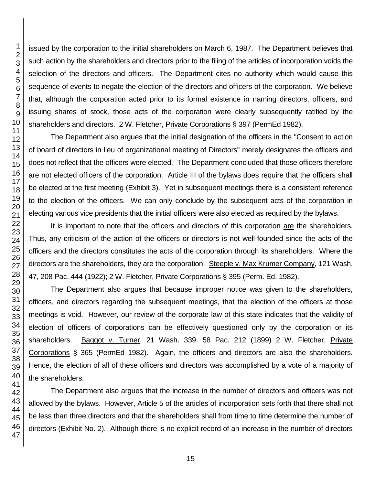issued by the corporation to the initial shareholders on March 6, 1987. The Department believes that such action by the shareholders and directors prior to the filing of the articles of incorporation voids the selection of the directors and officers. The Department cites no authority which would cause this sequence of events to negate the election of the directors and officers of the corporation. We believe that, although the corporation acted prior to its formal existence in naming directors, officers, and issuing shares of stock, those acts of the corporation were clearly subsequently ratified by the shareholders and directors. 2 W. Fletcher, Private Corporations § 397 (PermEd 1982). The Department also argues that the initial designation of the officers in the "Consent to action of board of directors in lieu of organizational meeting of Directors" merely designates the officers and does not reflect that the officers were elected. The Department concluded that those officers therefore

are not elected officers of the corporation. Article III of the bylaws does require that the officers shall be elected at the first meeting (Exhibit 3). Yet in subsequent meetings there is a consistent reference to the election of the officers. We can only conclude by the subsequent acts of the corporation in electing various vice presidents that the initial officers were also elected as required by the bylaws.

It is important to note that the officers and directors of this corporation are the shareholders. Thus, any criticism of the action of the officers or directors is not well-founded since the acts of the officers and the directors constitutes the acts of the corporation through its shareholders. Where the directors are the shareholders, they are the corporation. Steeple v. Max Krumer Company, 121 Wash. 47, 208 Pac. 444 (1922); 2 W. Fletcher, Private Corporations § 395 (Perm. Ed. 1982).

The Department also argues that because improper notice was given to the shareholders, officers, and directors regarding the subsequent meetings, that the election of the officers at those meetings is void. However, our review of the corporate law of this state indicates that the validity of election of officers of corporations can be effectively questioned only by the corporation or its shareholders. Baggot v. Turner, 21 Wash. 339, 58 Pac. 212 (1899) 2 W. Fletcher, Private Corporations § 365 (PermEd 1982). Again, the officers and directors are also the shareholders. Hence, the election of all of these officers and directors was accomplished by a vote of a majority of the shareholders.

The Department also argues that the increase in the number of directors and officers was not allowed by the bylaws. However, Article 5 of the articles of incorporation sets forth that there shall not be less than three directors and that the shareholders shall from time to time determine the number of directors (Exhibit No. 2). Although there is no explicit record of an increase in the number of directors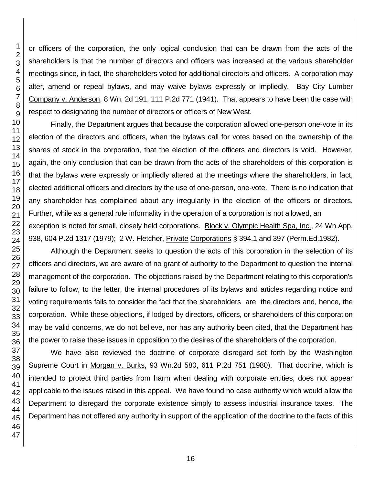or officers of the corporation, the only logical conclusion that can be drawn from the acts of the shareholders is that the number of directors and officers was increased at the various shareholder meetings since, in fact, the shareholders voted for additional directors and officers. A corporation may alter, amend or repeal bylaws, and may waive bylaws expressly or impliedly. Bay City Lumber Company v. Anderson, 8 Wn. 2d 191, 111 P.2d 771 (1941). That appears to have been the case with respect to designating the number of directors or officers of New West.

Finally, the Department argues that because the corporation allowed one-person one-vote in its election of the directors and officers, when the bylaws call for votes based on the ownership of the shares of stock in the corporation, that the election of the officers and directors is void. However, again, the only conclusion that can be drawn from the acts of the shareholders of this corporation is that the bylaws were expressly or impliedly altered at the meetings where the shareholders, in fact, elected additional officers and directors by the use of one-person, one-vote. There is no indication that any shareholder has complained about any irregularity in the election of the officers or directors. Further, while as a general rule informality in the operation of a corporation is not allowed, an exception is noted for small, closely held corporations. Block v. Olympic Health Spa, Inc., 24 Wn.App. 938, 604 P.2d 1317 (1979); 2 W. Fletcher, *Private Corporations §* 394.1 and 397 (Perm.Ed.1982).

Although the Department seeks to question the acts of this corporation in the selection of its officers and directors, we are aware of no grant of authority to the Department to question the internal management of the corporation. The objections raised by the Department relating to this corporation's failure to follow, to the letter, the internal procedures of its bylaws and articles regarding notice and voting requirements fails to consider the fact that the shareholders are the directors and, hence, the corporation. While these objections, if lodged by directors, officers, or shareholders of this corporation may be valid concerns, we do not believe, nor has any authority been cited, that the Department has the power to raise these issues in opposition to the desires of the shareholders of the corporation.

We have also reviewed the doctrine of corporate disregard set forth by the Washington Supreme Court in Morgan v. Burks, 93 Wn.2d 580, 611 P.2d 751 (1980). That doctrine, which is intended to protect third parties from harm when dealing with corporate entities, does not appear applicable to the issues raised in this appeal. We have found no case authority which would allow the Department to disregard the corporate existence simply to assess industrial insurance taxes. The Department has not offered any authority in support of the application of the doctrine to the facts of this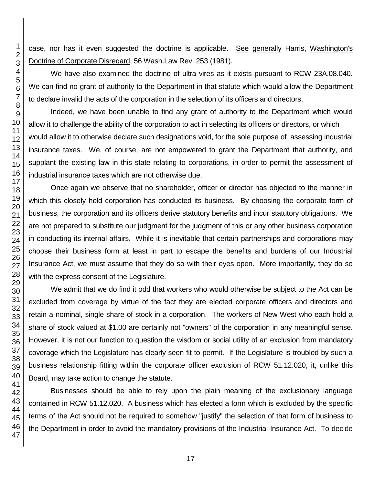case, nor has it even suggested the doctrine is applicable. See generally Harris, Washington's Doctrine of Corporate Disregard, 56 Wash.Law Rev. 253 (1981).

We have also examined the doctrine of ultra vires as it exists pursuant to RCW 23A.08.040. We can find no grant of authority to the Department in that statute which would allow the Department to declare invalid the acts of the corporation in the selection of its officers and directors.

Indeed, we have been unable to find any grant of authority to the Department which would allow it to challenge the ability of the corporation to act in selecting its officers or directors, or which would allow it to otherwise declare such designations void, for the sole purpose of assessing industrial insurance taxes. We, of course, are not empowered to grant the Department that authority, and supplant the existing law in this state relating to corporations, in order to permit the assessment of industrial insurance taxes which are not otherwise due.

Once again we observe that no shareholder, officer or director has objected to the manner in which this closely held corporation has conducted its business. By choosing the corporate form of business, the corporation and its officers derive statutory benefits and incur statutory obligations. We are not prepared to substitute our judgment for the judgment of this or any other business corporation in conducting its internal affairs. While it is inevitable that certain partnerships and corporations may choose their business form at least in part to escape the benefits and burdens of our Industrial Insurance Act, we must assume that they do so with their eyes open. More importantly, they do so with the express consent of the Legislature.

We admit that we do find it odd that workers who would otherwise be subject to the Act can be excluded from coverage by virtue of the fact they are elected corporate officers and directors and retain a nominal, single share of stock in a corporation. The workers of New West who each hold a share of stock valued at \$1.00 are certainly not "owners" of the corporation in any meaningful sense. However, it is not our function to question the wisdom or social utility of an exclusion from mandatory coverage which the Legislature has clearly seen fit to permit. If the Legislature is troubled by such a business relationship fitting within the corporate officer exclusion of RCW 51.12.020, it, unlike this Board, may take action to change the statute.

Businesses should be able to rely upon the plain meaning of the exclusionary language contained in RCW 51.12.020. A business which has elected a form which is excluded by the specific terms of the Act should not be required to somehow "justify" the selection of that form of business to the Department in order to avoid the mandatory provisions of the Industrial Insurance Act. To decide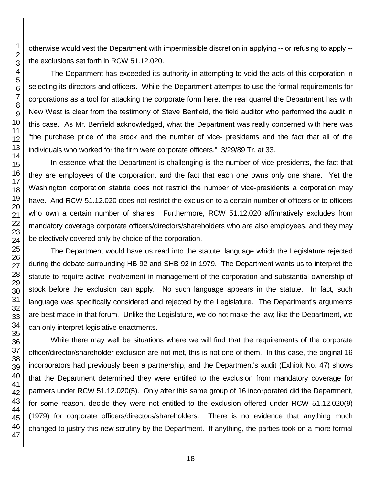otherwise would vest the Department with impermissible discretion in applying -- or refusing to apply - the exclusions set forth in RCW 51.12.020.

The Department has exceeded its authority in attempting to void the acts of this corporation in selecting its directors and officers. While the Department attempts to use the formal requirements for corporations as a tool for attacking the corporate form here, the real quarrel the Department has with New West is clear from the testimony of Steve Benfield, the field auditor who performed the audit in this case. As Mr. Benfield acknowledged, what the Department was really concerned with here was "the purchase price of the stock and the number of vice- presidents and the fact that all of the individuals who worked for the firm were corporate officers." 3/29/89 Tr. at 33.

In essence what the Department is challenging is the number of vice-presidents, the fact that they are employees of the corporation, and the fact that each one owns only one share. Yet the Washington corporation statute does not restrict the number of vice-presidents a corporation may have. And RCW 51.12.020 does not restrict the exclusion to a certain number of officers or to officers who own a certain number of shares. Furthermore, RCW 51.12.020 affirmatively excludes from mandatory coverage corporate officers/directors/shareholders who are also employees, and they may be electively covered only by choice of the corporation.

The Department would have us read into the statute, language which the Legislature rejected during the debate surrounding HB 92 and SHB 92 in 1979. The Department wants us to interpret the statute to require active involvement in management of the corporation and substantial ownership of stock before the exclusion can apply. No such language appears in the statute. In fact, such language was specifically considered and rejected by the Legislature. The Department's arguments are best made in that forum. Unlike the Legislature, we do not make the law; like the Department, we can only interpret legislative enactments.

While there may well be situations where we will find that the requirements of the corporate officer/director/shareholder exclusion are not met, this is not one of them. In this case, the original 16 incorporators had previously been a partnership, and the Department's audit (Exhibit No. 47) shows that the Department determined they were entitled to the exclusion from mandatory coverage for partners under RCW 51.12.020(5). Only after this same group of 16 incorporated did the Department, for some reason, decide they were not entitled to the exclusion offered under RCW 51.12.020(9) (1979) for corporate officers/directors/shareholders. There is no evidence that anything much changed to justify this new scrutiny by the Department. If anything, the parties took on a more formal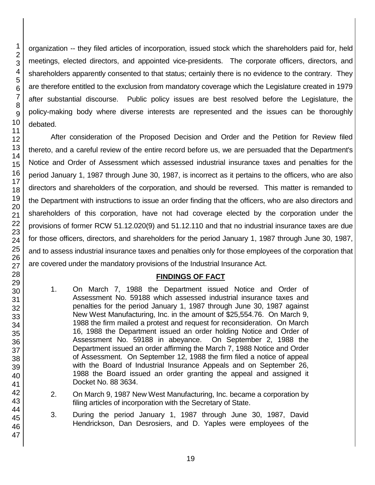1

organization -- they filed articles of incorporation, issued stock which the shareholders paid for, held meetings, elected directors, and appointed vice-presidents. The corporate officers, directors, and shareholders apparently consented to that status; certainly there is no evidence to the contrary. They are therefore entitled to the exclusion from mandatory coverage which the Legislature created in 1979 after substantial discourse. Public policy issues are best resolved before the Legislature, the policy-making body where diverse interests are represented and the issues can be thoroughly debated.

After consideration of the Proposed Decision and Order and the Petition for Review filed thereto, and a careful review of the entire record before us, we are persuaded that the Department's Notice and Order of Assessment which assessed industrial insurance taxes and penalties for the period January 1, 1987 through June 30, 1987, is incorrect as it pertains to the officers, who are also directors and shareholders of the corporation, and should be reversed. This matter is remanded to the Department with instructions to issue an order finding that the officers, who are also directors and shareholders of this corporation, have not had coverage elected by the corporation under the provisions of former RCW 51.12.020(9) and 51.12.110 and that no industrial insurance taxes are due for those officers, directors, and shareholders for the period January 1, 1987 through June 30, 1987, and to assess industrial insurance taxes and penalties only for those employees of the corporation that are covered under the mandatory provisions of the Industrial Insurance Act.

### **FINDINGS OF FACT**

- 1. On March 7, 1988 the Department issued Notice and Order of Assessment No. 59188 which assessed industrial insurance taxes and penalties for the period January 1, 1987 through June 30, 1987 against New West Manufacturing, Inc. in the amount of \$25,554.76. On March 9, 1988 the firm mailed a protest and request for reconsideration. On March 16, 1988 the Department issued an order holding Notice and Order of Assessment No. 59188 in abeyance. On September 2, 1988 the Department issued an order affirming the March 7, 1988 Notice and Order of Assessment. On September 12, 1988 the firm filed a notice of appeal with the Board of Industrial Insurance Appeals and on September 26, 1988 the Board issued an order granting the appeal and assigned it Docket No. 88 3634.
- 2. On March 9, 1987 New West Manufacturing, Inc. became a corporation by filing articles of incorporation with the Secretary of State.
- 3. During the period January 1, 1987 through June 30, 1987, David Hendrickson, Dan Desrosiers, and D. Yaples were employees of the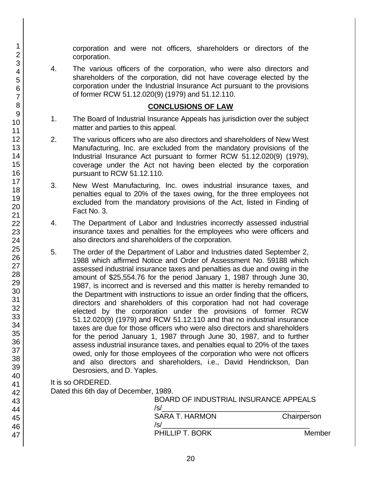corporation and were not officers, shareholders or directors of the corporation.

4. The various officers of the corporation, who were also directors and shareholders of the corporation, did not have coverage elected by the corporation under the Industrial Insurance Act pursuant to the provisions of former RCW 51.12.020(9) (1979) and 51.12.110.

### **CONCLUSIONS OF LAW**

- 1. The Board of Industrial Insurance Appeals has jurisdiction over the subject matter and parties to this appeal.
- 2. The various officers who are also directors and shareholders of New West Manufacturing, Inc. are excluded from the mandatory provisions of the Industrial Insurance Act pursuant to former RCW 51.12.020(9) (1979), coverage under the Act not having been elected by the corporation pursuant to RCW 51.12.110.
- 3. New West Manufacturing, Inc. owes industrial insurance taxes, and penalties equal to 20% of the taxes owing, for the three employees not excluded from the mandatory provisions of the Act, listed in Finding of Fact No. 3.
- 4. The Department of Labor and Industries incorrectly assessed industrial insurance taxes and penalties for the employees who were officers and also directors and shareholders of the corporation.
- 5. The order of the Department of Labor and Industries dated September 2, 1988 which affirmed Notice and Order of Assessment No. 59188 which assessed industrial insurance taxes and penalties as due and owing in the amount of \$25,554.76 for the period January 1, 1987 through June 30, 1987, is incorrect and is reversed and this matter is hereby remanded to the Department with instructions to issue an order finding that the officers, directors and shareholders of this corporation had not had coverage elected by the corporation under the provisions of former RCW 51.12.020(9) (1979) and RCW 51.12.110 and that no industrial insurance taxes are due for those officers who were also directors and shareholders for the period January 1, 1987 through June 30, 1987, and to further assess industrial insurance taxes, and penalties equal to 20% of the taxes owed, only for those employees of the corporation who were not officers and also directors and shareholders, i.e., David Hendrickson, Dan Desrosiers, and D. Yaples.

It is so ORDERED.

Dated this 6th day of December, 1989.

| BOARD OF INDUSTRIAL INSURANCE APPEALS<br>/s/ |             |
|----------------------------------------------|-------------|
| <b>SARA T. HARMON</b><br>/s/                 | Chairperson |
| PHILLIP T. BORK                              | Member      |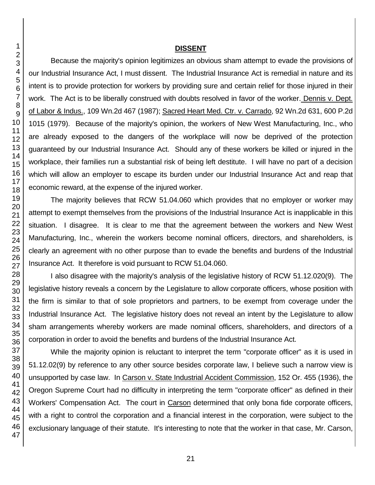#### **DISSENT**

Because the majority's opinion legitimizes an obvious sham attempt to evade the provisions of our Industrial Insurance Act, I must dissent. The Industrial Insurance Act is remedial in nature and its intent is to provide protection for workers by providing sure and certain relief for those injured in their work. The Act is to be liberally construed with doubts resolved in favor of the worker. Dennis v. Dept. of Labor & Indus., 109 Wn.2d 467 (1987); Sacred Heart Med. Ctr. v. Carrado, 92 Wn.2d 631, 600 P.2d 1015 (1979). Because of the majority's opinion, the workers of New West Manufacturing, Inc., who are already exposed to the dangers of the workplace will now be deprived of the protection guaranteed by our Industrial Insurance Act. Should any of these workers be killed or injured in the workplace, their families run a substantial risk of being left destitute. I will have no part of a decision which will allow an employer to escape its burden under our Industrial Insurance Act and reap that economic reward, at the expense of the injured worker.

The majority believes that RCW 51.04.060 which provides that no employer or worker may attempt to exempt themselves from the provisions of the Industrial Insurance Act is inapplicable in this situation. I disagree. It is clear to me that the agreement between the workers and New West Manufacturing, Inc., wherein the workers become nominal officers, directors, and shareholders, is clearly an agreement with no other purpose than to evade the benefits and burdens of the Industrial Insurance Act. It therefore is void pursuant to RCW 51.04.060.

I also disagree with the majority's analysis of the legislative history of RCW 51.12.020(9). The legislative history reveals a concern by the Legislature to allow corporate officers, whose position with the firm is similar to that of sole proprietors and partners, to be exempt from coverage under the Industrial Insurance Act. The legislative history does not reveal an intent by the Legislature to allow sham arrangements whereby workers are made nominal officers, shareholders, and directors of a corporation in order to avoid the benefits and burdens of the Industrial Insurance Act.

While the majority opinion is reluctant to interpret the term "corporate officer" as it is used in 51.12.02(9) by reference to any other source besides corporate law, I believe such a narrow view is unsupported by case law. In Carson v. State Industrial Accident Commission, 152 Or. 455 (1936), the Oregon Supreme Court had no difficulty in interpreting the term "corporate officer" as defined in their Workers' Compensation Act. The court in Carson determined that only bona fide corporate officers, with a right to control the corporation and a financial interest in the corporation, were subject to the exclusionary language of their statute. It's interesting to note that the worker in that case, Mr. Carson,